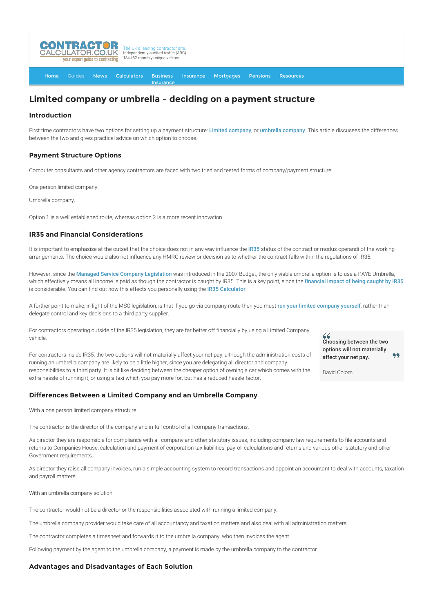

## **[Insurance](http://www.contractorcalculator.co.uk/Contractor_Insurances.aspx)**

# **Limited company or umbrella – deciding on a payment structure**

# **Introduction**

First time contractors have two options for setting up a payment structure: [Limited company](http://www.contractorcalculator.co.uk/limited_companies.aspx), or [umbrella company](http://www.contractorcalculator.co.uk/umbrellas.aspx). This article discusses the differences between the two and gives practical advice on which option to choose.

# **Payment Structure Options**

Computer consultants and other agency contractors are faced with two tried and tested forms of company/payment structure:

One person limited company.

Umbrella company.

Option 1 is a well established route, whereas option 2 is a more recent innovation.

# **IR35 and Financial Considerations**

It is important to emphasise at the outset that the choice does not in any way influence the [IR35](http://www.contractorcalculator.co.uk/ir35.aspx) status of the contract or modus operandi of the working arrangements. The choice would also not influence any HMRC review or decision as to whether the contract falls within the regulations of IR35.

However, since the [Managed Service Company Legislation](http://www.contractorcalculator.co.uk/managed_service_companies.aspx) was introduced in the 2007 Budget, the only viable umbrella option is to use a PAYE Umbrella, which effectively means all income is paid as though the contractor is caught by IR35. This is a key point, since the [financial impact of being caught by IR35](http://www.contractorcalculator.co.uk/financial_impact_ir35_contractor.aspx) is considerable. You can find out how this effects you personally using the [IR35 Calculator](http://www.contractorcalculator.co.uk/ir35calculator.aspx).

A further point to make, in light of the MSC legislation, is that if you go via company route then you must [run your limited company yourself](http://www.contractorcalculator.co.uk/contractors_run_limited_companies.aspx), rather than delegate control and key decisions to a third party supplier.

For contractors operating outside of the IR35 legislation, they are far better off financially by using a Limited Company vehicle.

For contractors inside IR35, the two options will not materially affect your net pay, although the administration costs of running an umbrella company are likely to be a little higher, since you are delegating all director and company responsibilities to a third party. It is bit like deciding between the cheaper option of owning a car which comes with the extra hassle of running it, or using a taxi which you pay more for, but has a reduced hassle factor.

## **Differences Between a Limited Company and an Umbrella Company**

With a one person limited company structure

The contractor is the director of the company and in full control of all company transactions.

As director they are responsible for compliance with all company and other statutory issues, including company law requirements to file accounts and returns to Companies House, calculation and payment of corporation tax liabilities, payroll calculations and returns and various other statutory and other Government requirements.

As director they raise all company invoices, run a simple accounting system to record transactions and appoint an accountant to deal with accounts, taxation and payroll matters.

With an umbrella company solution:

The contractor would not be a director or the responsibilities associated with running a limited company.

The umbrella company provider would take care of all accountancy and taxation matters and also deal with all administration matters.

The contractor completes a timesheet and forwards it to the umbrella company, who then invoices the agent.

Following payment by the agent to the umbrella company, a payment is made by the umbrella company to the contractor.

## **Advantages and Disadvantages of Each Solution**

Choosing between the two options will not materially 99 affect your net pay.

David Colom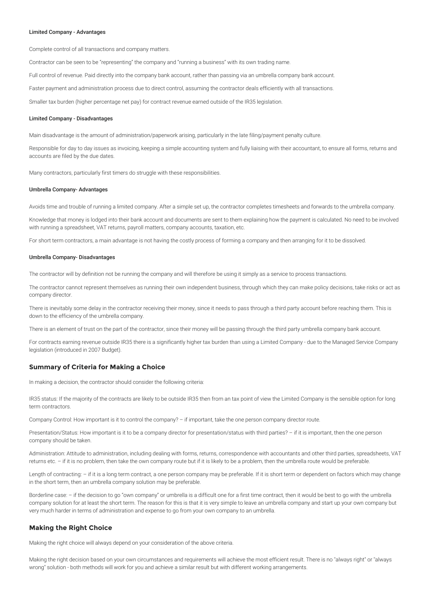#### Limited Company - Advantages

Complete control of all transactions and company matters.

Contractor can be seen to be "representing" the company and "running a business" with its own trading name.

Full control of revenue. Paid directly into the company bank account, rather than passing via an umbrella company bank account.

Faster payment and administration process due to direct control, assuming the contractor deals efficiently with all transactions.

Smaller tax burden (higher percentage net pay) for contract revenue earned outside of the IR35 legislation.

#### Limited Company - Disadvantages

Main disadvantage is the amount of administration/paperwork arising, particularly in the late filing/payment penalty culture.

Responsible for day to day issues as invoicing, keeping a simple accounting system and fully liaising with their accountant, to ensure all forms, returns and accounts are filed by the due dates.

Many contractors, particularly first timers do struggle with these responsibilities.

#### Umbrella Company- Advantages

Avoids time and trouble of running a limited company. After a simple set up, the contractor completes timesheets and forwards to the umbrella company.

Knowledge that money is lodged into their bank account and documents are sent to them explaining how the payment is calculated. No need to be involved with running a spreadsheet, VAT returns, payroll matters, company accounts, taxation, etc.

For short term contractors, a main advantage is not having the costly process of forming a company and then arranging for it to be dissolved.

#### Umbrella Company- Disadvantages

The contractor will by definition not be running the company and will therefore be using it simply as a service to process transactions.

The contractor cannot represent themselves as running their own independent business, through which they can make policy decisions, take risks or act as company director.

There is inevitably some delay in the contractor receiving their money, since it needs to pass through a third party account before reaching them. This is down to the efficiency of the umbrella company.

There is an element of trust on the part of the contractor, since their money will be passing through the third party umbrella company bank account.

For contracts earning revenue outside IR35 there is a significantly higher tax burden than using a Limited Company - due to the Managed Service Company legislation (introduced in 2007 Budget).

### **Summary of Criteria for Making a Choice**

In making a decision, the contractor should consider the following criteria:

IR35 status: If the majority of the contracts are likely to be outside IR35 then from an tax point of view the Limited Company is the sensible option for long term contractors.

Company Control: How important is it to control the company? – if important, take the one person company director route.

Presentation/Status: How important is it to be a company director for presentation/status with third parties? – if it is important, then the one person company should be taken.

Administration: Attitude to administration, including dealing with forms, returns, correspondence with accountants and other third parties, spreadsheets, VAT returns etc. – if it is no problem, then take the own company route but if it is likely to be a problem, then the umbrella route would be preferable.

Length of contracting: - if it is a long term contract, a one person company may be preferable. If it is short term or dependent on factors which may change in the short term, then an umbrella company solution may be preferable.

Borderline case: – if the decision to go "own company" or umbrella is a difficult one for a first time contract, then it would be best to go with the umbrella company solution for at least the short term. The reason for this is that it is very simple to leave an umbrella company and start up your own company but very much harder in terms of administration and expense to go from your own company to an umbrella.

### **Making the Right Choice**

Making the right choice will always depend on your consideration of the above criteria.

Making the right decision based on your own circumstances and requirements will achieve the most efficient result. There is no "always right" or "always wrong" solution - both methods will work for you and achieve a similar result but with different working arrangements.